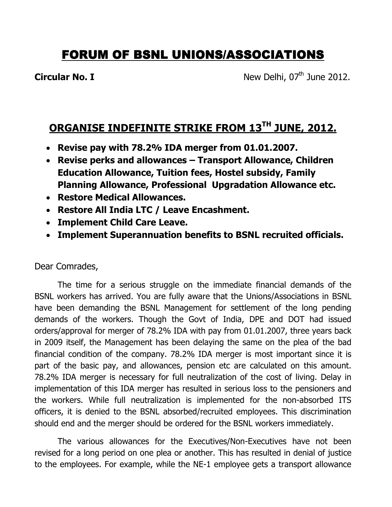## FORUM OF BSNL UNIONS/ASSOCIATIONS

**Circular No. I** New Delhi,  $07<sup>th</sup>$  June 2012.

## ORGANISE INDEFINITE STRIKE FROM 13<sup>TH</sup> JUNE, 2012.

- Revise pay with 78.2% IDA merger from 01.01.2007.
- Revise perks and allowances Transport Allowance, Children Education Allowance, Tuition fees, Hostel subsidy, Family Planning Allowance, Professional Upgradation Allowance etc.
- Restore Medical Allowances.
- Restore All India LTC / Leave Encashment.
- Implement Child Care Leave.
- Implement Superannuation benefits to BSNL recruited officials.

Dear Comrades,

 The time for a serious struggle on the immediate financial demands of the BSNL workers has arrived. You are fully aware that the Unions/Associations in BSNL have been demanding the BSNL Management for settlement of the long pending demands of the workers. Though the Govt of India, DPE and DOT had issued orders/approval for merger of 78.2% IDA with pay from 01.01.2007, three years back in 2009 itself, the Management has been delaying the same on the plea of the bad financial condition of the company. 78.2% IDA merger is most important since it is part of the basic pay, and allowances, pension etc are calculated on this amount. 78.2% IDA merger is necessary for full neutralization of the cost of living. Delay in implementation of this IDA merger has resulted in serious loss to the pensioners and the workers. While full neutralization is implemented for the non-absorbed ITS officers, it is denied to the BSNL absorbed/recruited employees. This discrimination should end and the merger should be ordered for the BSNL workers immediately.

 The various allowances for the Executives/Non-Executives have not been revised for a long period on one plea or another. This has resulted in denial of justice to the employees. For example, while the NE-1 employee gets a transport allowance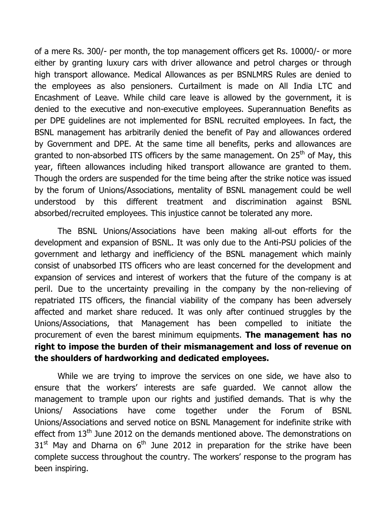of a mere Rs. 300/- per month, the top management officers get Rs. 10000/- or more either by granting luxury cars with driver allowance and petrol charges or through high transport allowance. Medical Allowances as per BSNLMRS Rules are denied to the employees as also pensioners. Curtailment is made on All India LTC and Encashment of Leave. While child care leave is allowed by the government, it is denied to the executive and non-executive employees. Superannuation Benefits as per DPE guidelines are not implemented for BSNL recruited employees. In fact, the BSNL management has arbitrarily denied the benefit of Pay and allowances ordered by Government and DPE. At the same time all benefits, perks and allowances are granted to non-absorbed ITS officers by the same management. On  $25<sup>th</sup>$  of May, this year, fifteen allowances including hiked transport allowance are granted to them. Though the orders are suspended for the time being after the strike notice was issued by the forum of Unions/Associations, mentality of BSNL management could be well understood by this different treatment and discrimination against BSNL absorbed/recruited employees. This injustice cannot be tolerated any more.

 The BSNL Unions/Associations have been making all-out efforts for the development and expansion of BSNL. It was only due to the Anti-PSU policies of the government and lethargy and inefficiency of the BSNL management which mainly consist of unabsorbed ITS officers who are least concerned for the development and expansion of services and interest of workers that the future of the company is at peril. Due to the uncertainty prevailing in the company by the non-relieving of repatriated ITS officers, the financial viability of the company has been adversely affected and market share reduced. It was only after continued struggles by the Unions/Associations, that Management has been compelled to initiate the procurement of even the barest minimum equipments. The management has no right to impose the burden of their mismanagement and loss of revenue on the shoulders of hardworking and dedicated employees.

While we are trying to improve the services on one side, we have also to ensure that the workers' interests are safe guarded. We cannot allow the management to trample upon our rights and justified demands. That is why the Unions/ Associations have come together under the Forum of BSNL Unions/Associations and served notice on BSNL Management for indefinite strike with effect from 13<sup>th</sup> June 2012 on the demands mentioned above. The demonstrations on  $31<sup>st</sup>$  May and Dharna on  $6<sup>th</sup>$  June 2012 in preparation for the strike have been complete success throughout the country. The workers' response to the program has been inspiring.